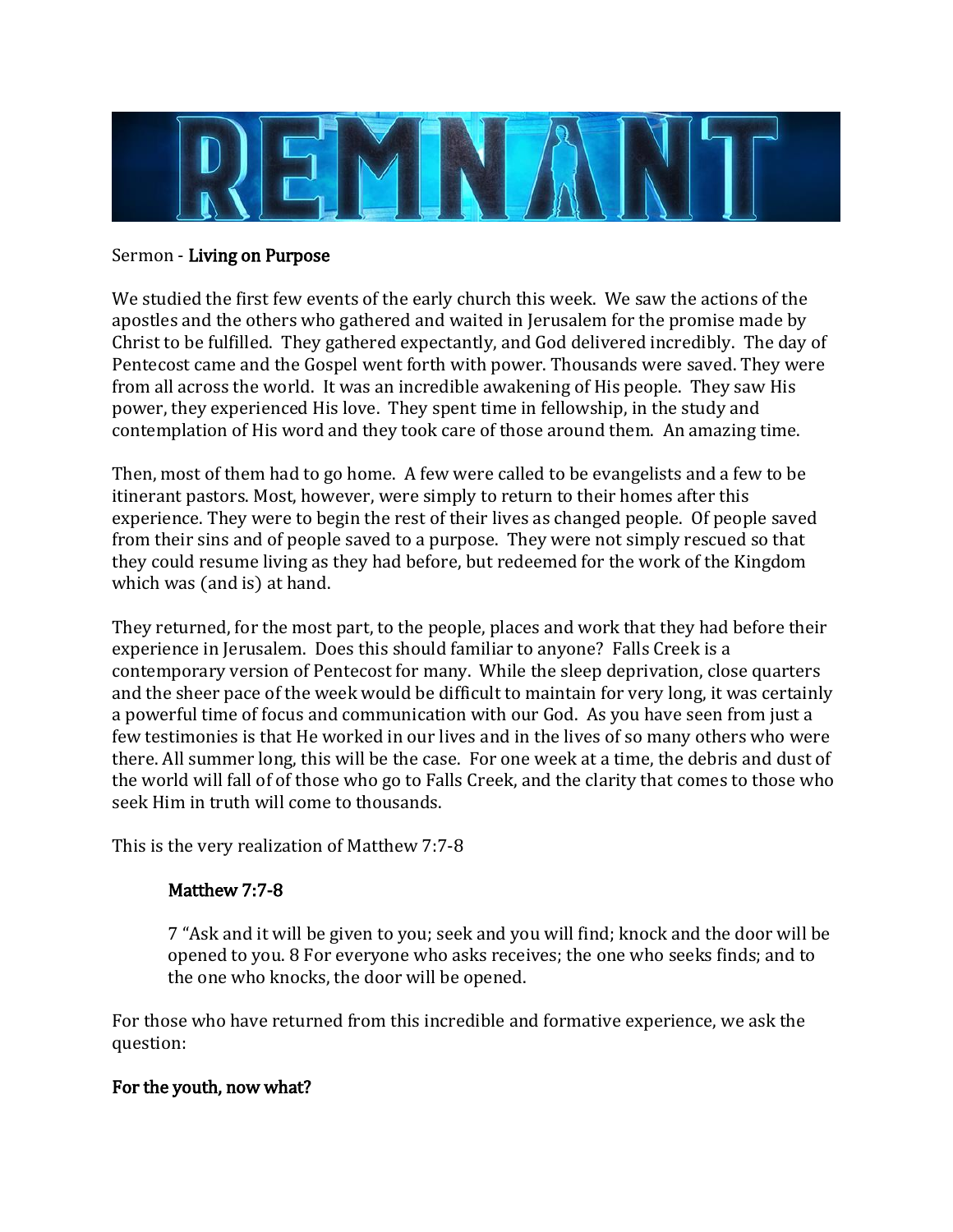

#### Sermon - Living on Purpose

We studied the first few events of the early church this week. We saw the actions of the apostles and the others who gathered and waited in Jerusalem for the promise made by Christ to be fulfilled. They gathered expectantly, and God delivered incredibly. The day of Pentecost came and the Gospel went forth with power. Thousands were saved. They were from all across the world. It was an incredible awakening of His people. They saw His power, they experienced His love. They spent time in fellowship, in the study and contemplation of His word and they took care of those around them. An amazing time.

Then, most of them had to go home. A few were called to be evangelists and a few to be itinerant pastors. Most, however, were simply to return to their homes after this experience. They were to begin the rest of their lives as changed people. Of people saved from their sins and of people saved to a purpose. They were not simply rescued so that they could resume living as they had before, but redeemed for the work of the Kingdom which was (and is) at hand.

They returned, for the most part, to the people, places and work that they had before their experience in Jerusalem. Does this should familiar to anyone? Falls Creek is a contemporary version of Pentecost for many. While the sleep deprivation, close quarters and the sheer pace of the week would be difficult to maintain for very long, it was certainly a powerful time of focus and communication with our God. As you have seen from just a few testimonies is that He worked in our lives and in the lives of so many others who were there. All summer long, this will be the case. For one week at a time, the debris and dust of the world will fall of of those who go to Falls Creek, and the clarity that comes to those who seek Him in truth will come to thousands.

This is the very realization of Matthew 7:7-8

## Matthew 7:7-8

7 "Ask and it will be given to you; seek and you will find; knock and the door will be opened to you. 8 For everyone who asks receives; the one who seeks finds; and to the one who knocks, the door will be opened.

For those who have returned from this incredible and formative experience, we ask the question:

#### For the youth, now what?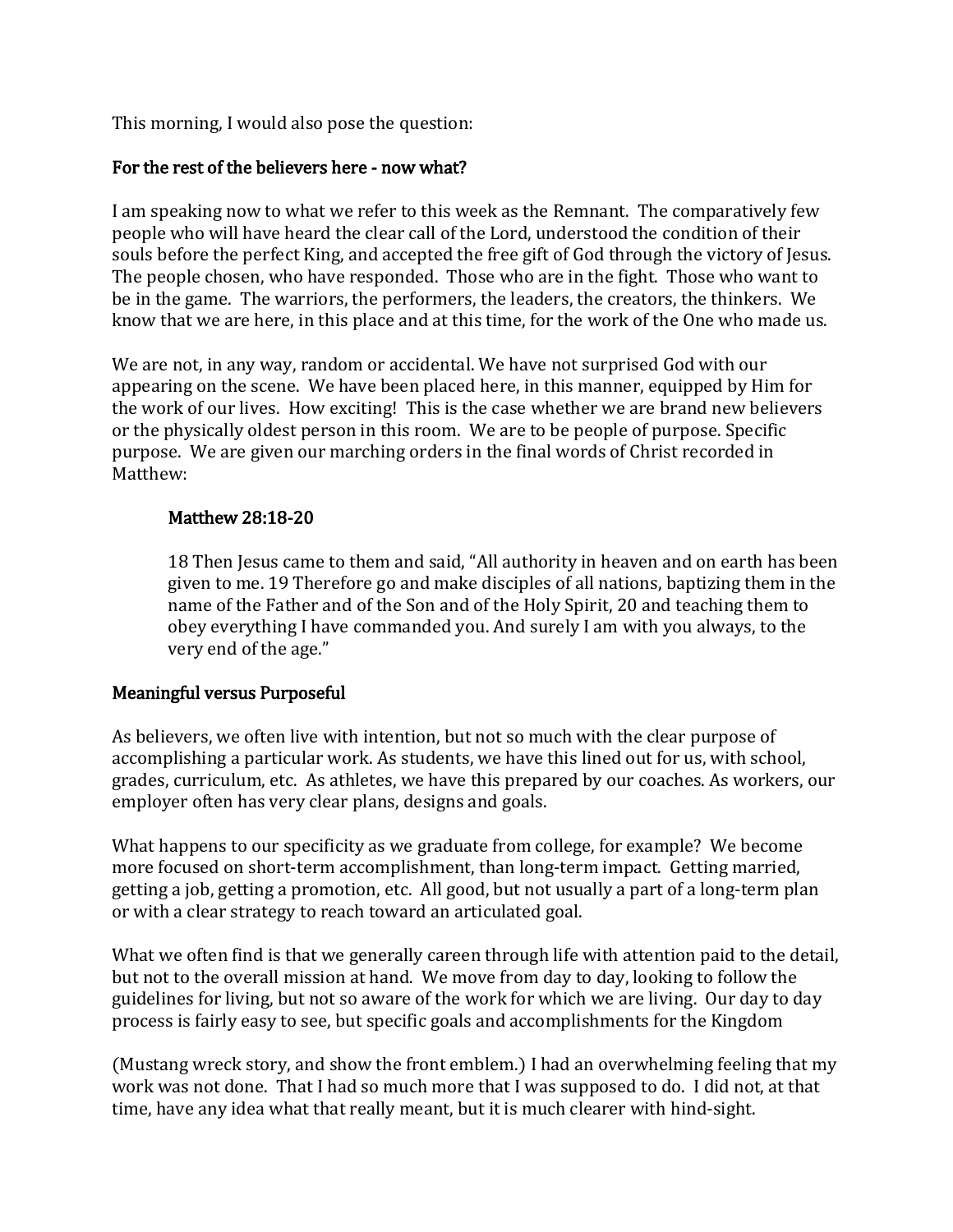This morning, I would also pose the question:

# For the rest of the believers here - now what?

I am speaking now to what we refer to this week as the Remnant. The comparatively few people who will have heard the clear call of the Lord, understood the condition of their souls before the perfect King, and accepted the free gift of God through the victory of Jesus. The people chosen, who have responded. Those who are in the fight. Those who want to be in the game. The warriors, the performers, the leaders, the creators, the thinkers. We know that we are here, in this place and at this time, for the work of the One who made us.

We are not, in any way, random or accidental. We have not surprised God with our appearing on the scene. We have been placed here, in this manner, equipped by Him for the work of our lives. How exciting! This is the case whether we are brand new believers or the physically oldest person in this room. We are to be people of purpose. Specific purpose. We are given our marching orders in the final words of Christ recorded in Matthew:

#### Matthew 28:18-20

18 Then Jesus came to them and said, "All authority in heaven and on earth has been given to me. 19 Therefore go and make disciples of all nations, baptizing them in the name of the Father and of the Son and of the Holy Spirit, 20 and teaching them to obey everything I have commanded you. And surely I am with you always, to the very end of the age."

## Meaningful versus Purposeful

As believers, we often live with intention, but not so much with the clear purpose of accomplishing a particular work. As students, we have this lined out for us, with school, grades, curriculum, etc. As athletes, we have this prepared by our coaches. As workers, our employer often has very clear plans, designs and goals.

What happens to our specificity as we graduate from college, for example? We become more focused on short-term accomplishment, than long-term impact. Getting married, getting a job, getting a promotion, etc. All good, but not usually a part of a long-term plan or with a clear strategy to reach toward an articulated goal.

What we often find is that we generally careen through life with attention paid to the detail, but not to the overall mission at hand. We move from day to day, looking to follow the guidelines for living, but not so aware of the work for which we are living. Our day to day process is fairly easy to see, but specific goals and accomplishments for the Kingdom

(Mustang wreck story, and show the front emblem.) I had an overwhelming feeling that my work was not done. That I had so much more that I was supposed to do. I did not, at that time, have any idea what that really meant, but it is much clearer with hind-sight.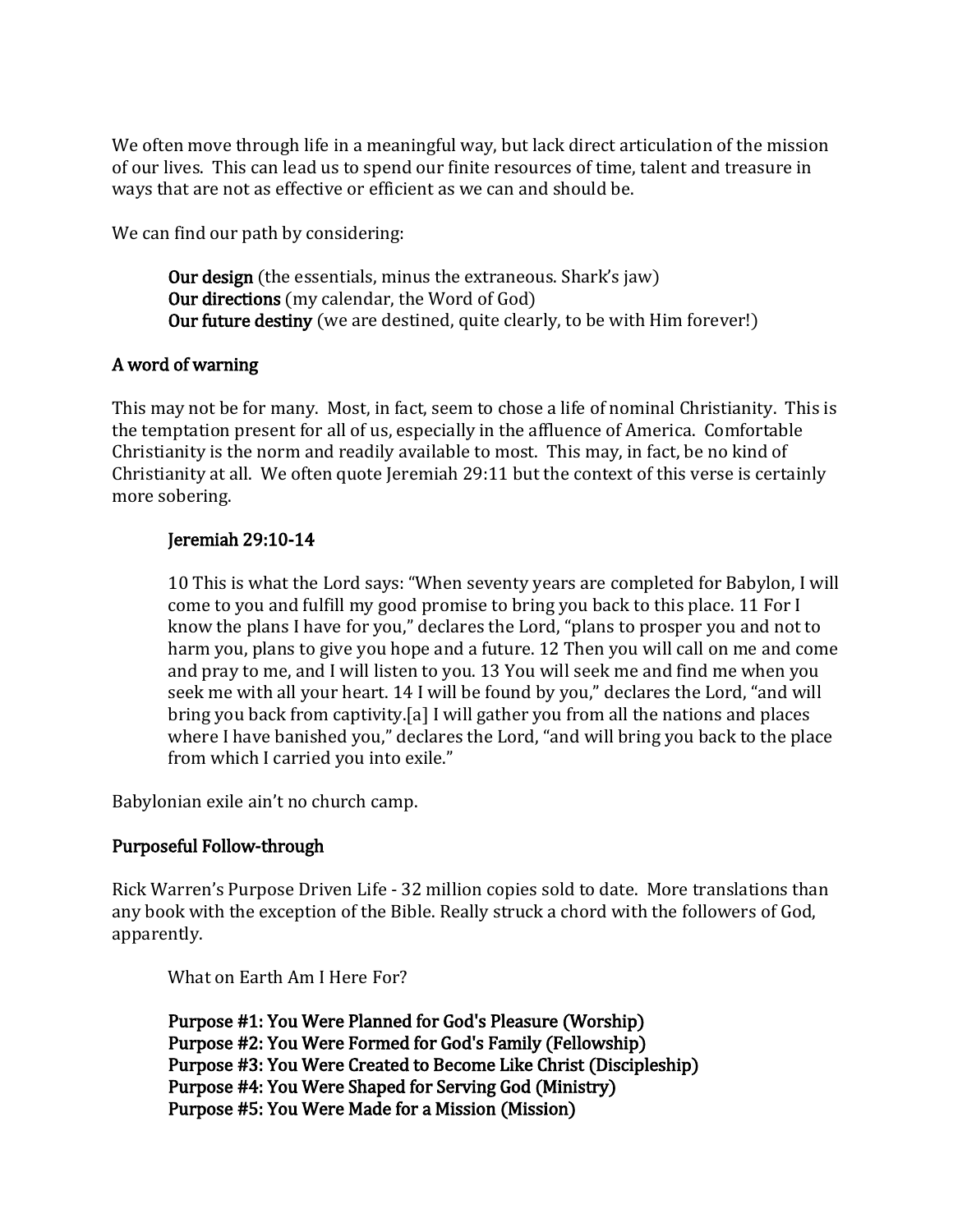We often move through life in a meaningful way, but lack direct articulation of the mission of our lives. This can lead us to spend our finite resources of time, talent and treasure in ways that are not as effective or efficient as we can and should be.

We can find our path by considering:

Our design (the essentials, minus the extraneous. Shark's jaw) Our directions (my calendar, the Word of God) Our future destiny (we are destined, quite clearly, to be with Him forever!)

#### A word of warning

This may not be for many. Most, in fact, seem to chose a life of nominal Christianity. This is the temptation present for all of us, especially in the affluence of America. Comfortable Christianity is the norm and readily available to most. This may, in fact, be no kind of Christianity at all. We often quote Jeremiah 29:11 but the context of this verse is certainly more sobering.

#### Jeremiah 29:10-14

10 This is what the Lord says: "When seventy years are completed for Babylon, I will come to you and fulfill my good promise to bring you back to this place. 11 For I know the plans I have for you," declares the Lord, "plans to prosper you and not to harm you, plans to give you hope and a future. 12 Then you will call on me and come and pray to me, and I will listen to you. 13 You will seek me and find me when you seek me with all your heart. 14 I will be found by you," declares the Lord, "and will bring you back from captivity.[a] I will gather you from all the nations and places where I have banished you," declares the Lord, "and will bring you back to the place from which I carried you into exile."

Babylonian exile ain't no church camp.

## Purposeful Follow-through

Rick Warren's Purpose Driven Life - 32 million copies sold to date. More translations than any book with the exception of the Bible. Really struck a chord with the followers of God, apparently.

What on Earth Am I Here For?

Purpose #1: You Were Planned for God's Pleasure (Worship) Purpose #2: You Were Formed for God's Family (Fellowship) Purpose #3: You Were Created to Become Like Christ (Discipleship) Purpose #4: You Were Shaped for Serving God (Ministry) Purpose #5: You Were Made for a Mission (Mission)